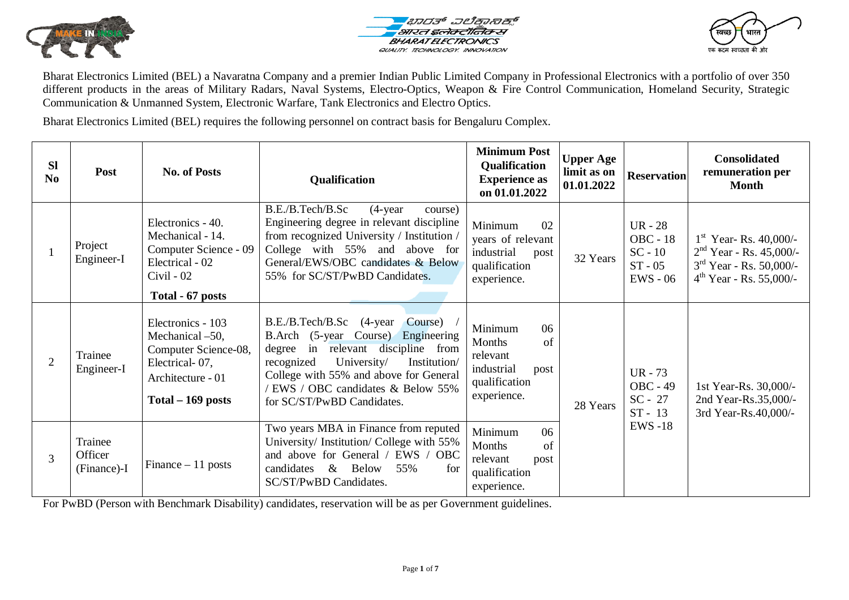





Bharat Electronics Limited (BEL) a Navaratna Company and a premier Indian Public Limited Company in Professional Electronics with a portfolio of over 350 different products in the areas of Military Radars, Naval Systems, Electro-Optics, Weapon & Fire Control Communication, Homeland Security, Strategic Communication & Unmanned System, Electronic Warfare, Tank Electronics and Electro Optics.

Bharat Electronics Limited (BEL) requires the following personnel on contract basis for Bengaluru Complex.

| <b>Sl</b><br>N <sub>0</sub> | Post                              | <b>No. of Posts</b>                                                                                                        | Qualification                                                                                                                                                                                                                                                              | <b>Minimum Post</b><br>Qualification<br><b>Experience as</b><br>on 01.01.2022                   | <b>Upper Age</b><br>limit as on<br>01.01.2022 | <b>Reservation</b>                                                   | <b>Consolidated</b><br>remuneration per<br><b>Month</b>                                                         |
|-----------------------------|-----------------------------------|----------------------------------------------------------------------------------------------------------------------------|----------------------------------------------------------------------------------------------------------------------------------------------------------------------------------------------------------------------------------------------------------------------------|-------------------------------------------------------------------------------------------------|-----------------------------------------------|----------------------------------------------------------------------|-----------------------------------------------------------------------------------------------------------------|
|                             | Project<br>Engineer-I             | Electronics - 40.<br>Mechanical - 14.<br>Computer Science - 09<br>Electrical - 02<br>$Civil - 02$<br>Total - 67 posts      | B.E./B.Tech/B.Sc<br>$(4$ -year<br>course)<br>Engineering degree in relevant discipline<br>from recognized University / Institution /<br>College with 55% and above for<br>General/EWS/OBC candidates & Below<br>55% for SC/ST/PwBD Candidates.                             | Minimum<br>02<br>years of relevant<br>industrial<br>post<br>qualification<br>experience.        | 32 Years                                      | UR - $28$<br><b>OBC</b> - 18<br>$SC - 10$<br>$ST - 05$<br>$EWS - 06$ | $1st$ Year-Rs. 40,000/-<br>$2nd Year - Rs. 45,000/$ -<br>$3rd$ Year - Rs. 50,000/-<br>$4th$ Year - Rs. 55,000/- |
| 2                           | Trainee<br>Engineer-I             | Electronics - 103<br>Mechanical -50,<br>Computer Science-08,<br>Electrical-07,<br>Architecture - 01<br>$Total - 169$ posts | B.E./B.Tech/B.Sc (4-year)<br>Course)<br>B.Arch (5-year Course) Engineering<br>degree in relevant discipline from<br>University/<br>recognized<br>Institution/<br>College with 55% and above for General<br>'EWS / OBC candidates & Below 55%<br>for SC/ST/PwBD Candidates. | Minimum<br>06<br>Months<br>of<br>relevant<br>industrial<br>post<br>qualification<br>experience. | 28 Years                                      | UR - $73$<br><b>OBC - 49</b><br>$SC - 27$<br>$ST - 13$               | 1st Year-Rs. 30,000/-<br>2nd Year-Rs.35,000/-<br>3rd Year-Rs.40,000/-                                           |
| $\overline{3}$              | Trainee<br>Officer<br>(Finance)-I | Finance $-11$ posts                                                                                                        | Two years MBA in Finance from reputed<br>University/ Institution/ College with 55%<br>and above for General / EWS / OBC<br>$\&$<br><b>Below</b><br>candidates<br>55%<br>for<br>SC/ST/PwBD Candidates.                                                                      | Minimum<br>06<br>Months<br>of<br>relevant<br>post<br>qualification<br>experience.               |                                               | <b>EWS-18</b>                                                        |                                                                                                                 |

For PwBD (Person with Benchmark Disability) candidates, reservation will be as per Government guidelines.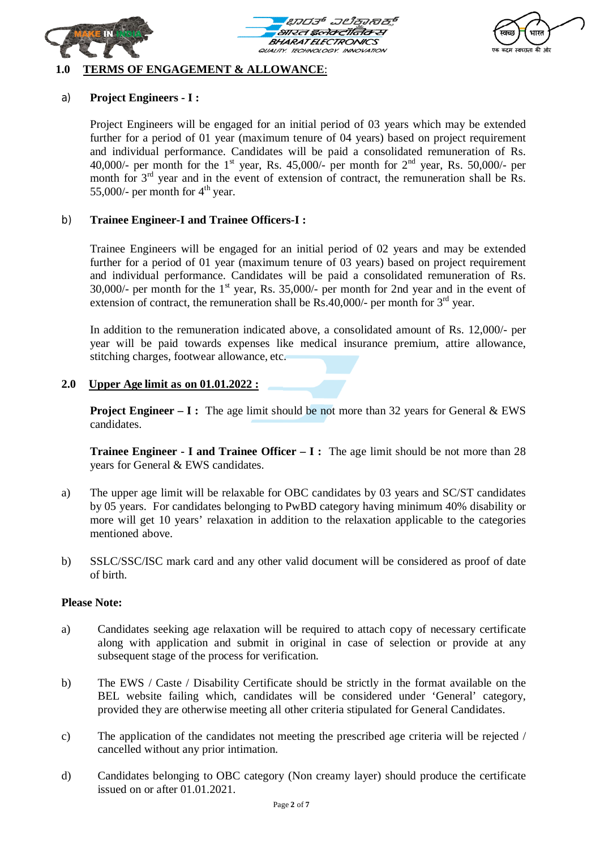





### **1.0 TERMS OF ENGAGEMENT & ALLOWANCE**:

## a) **Project Engineers - I :**

Project Engineers will be engaged for an initial period of 03 years which may be extended further for a period of 01 year (maximum tenure of 04 years) based on project requirement and individual performance. Candidates will be paid a consolidated remuneration of Rs. 40,000/- per month for the 1<sup>st</sup> year, Rs. 45,000/- per month for  $2<sup>nd</sup>$  year, Rs. 50,000/- per month for  $3<sup>rd</sup>$  year and in the event of extension of contract, the remuneration shall be Rs. 55,000/- per month for  $4<sup>th</sup>$  year.

### b) **Trainee Engineer-I and Trainee Officers-I :**

Trainee Engineers will be engaged for an initial period of 02 years and may be extended further for a period of 01 year (maximum tenure of 03 years) based on project requirement and individual performance. Candidates will be paid a consolidated remuneration of Rs. 30,000/- per month for the  $1<sup>st</sup>$  year, Rs. 35,000/- per month for 2nd year and in the event of extension of contract, the remuneration shall be  $\overline{Rs}.40,000/$ - per month for  $3<sup>rd</sup>$  year.

In addition to the remuneration indicated above, a consolidated amount of Rs. 12,000/- per year will be paid towards expenses like medical insurance premium, attire allowance, stitching charges, footwear allowance, etc.

## **2.0 Upper Age limit as on 01.01.2022 :**

**Project Engineer – I:** The age limit should be not more than 32 years for General & EWS candidates.

**Trainee Engineer - I and Trainee Officer – I :** The age limit should be not more than 28 years for General & EWS candidates.

- a) The upper age limit will be relaxable for OBC candidates by 03 years and SC/ST candidates by 05 years. For candidates belonging to PwBD category having minimum 40% disability or more will get 10 years' relaxation in addition to the relaxation applicable to the categories mentioned above.
- b) SSLC/SSC/ISC mark card and any other valid document will be considered as proof of date of birth.

#### **Please Note:**

- a) Candidates seeking age relaxation will be required to attach copy of necessary certificate along with application and submit in original in case of selection or provide at any subsequent stage of the process for verification.
- b) The EWS / Caste / Disability Certificate should be strictly in the format available on the BEL website failing which, candidates will be considered under 'General' category, provided they are otherwise meeting all other criteria stipulated for General Candidates.
- c) The application of the candidates not meeting the prescribed age criteria will be rejected / cancelled without any prior intimation.
- d) Candidates belonging to OBC category (Non creamy layer) should produce the certificate issued on or after 01.01.2021.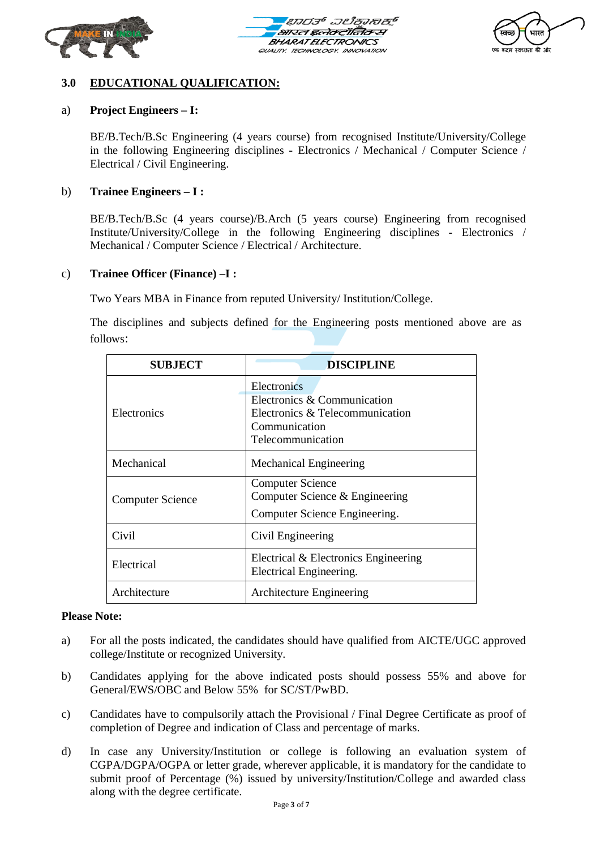





# **3.0 EDUCATIONAL QUALIFICATION:**

## a) **Project Engineers – I:**

BE/B.Tech/B.Sc Engineering (4 years course) from recognised Institute/University/College in the following Engineering disciplines - Electronics / Mechanical / Computer Science / Electrical / Civil Engineering.

### b) **Trainee Engineers – I :**

BE/B.Tech/B.Sc (4 years course)/B.Arch (5 years course) Engineering from recognised Institute/University/College in the following Engineering disciplines - Electronics / Mechanical / Computer Science / Electrical / Architecture.

### c) **Trainee Officer (Finance) –I :**

Two Years MBA in Finance from reputed University/ Institution/College.

The disciplines and subjects defined for the Engineering posts mentioned above are as follows:

| <b>SUBJECT</b>          | <b>DISCIPLINE</b>                                                                                                   |  |  |
|-------------------------|---------------------------------------------------------------------------------------------------------------------|--|--|
| Electronics             | Electronics<br>Electronics & Communication<br>Electronics & Telecommunication<br>Communication<br>Telecommunication |  |  |
| Mechanical              | <b>Mechanical Engineering</b>                                                                                       |  |  |
| <b>Computer Science</b> | <b>Computer Science</b><br>Computer Science & Engineering<br>Computer Science Engineering.                          |  |  |
| Civil                   | Civil Engineering                                                                                                   |  |  |
| Electrical              | Electrical & Electronics Engineering<br>Electrical Engineering.                                                     |  |  |
| Architecture            | <b>Architecture Engineering</b>                                                                                     |  |  |

### **Please Note:**

- a) For all the posts indicated, the candidates should have qualified from AICTE/UGC approved college/Institute or recognized University.
- b) Candidates applying for the above indicated posts should possess 55% and above for General/EWS/OBC and Below 55% for SC/ST/PwBD.
- c) Candidates have to compulsorily attach the Provisional / Final Degree Certificate as proof of completion of Degree and indication of Class and percentage of marks.
- d) In case any University/Institution or college is following an evaluation system of CGPA/DGPA/OGPA or letter grade, wherever applicable, it is mandatory for the candidate to submit proof of Percentage (%) issued by university/Institution/College and awarded class along with the degree certificate.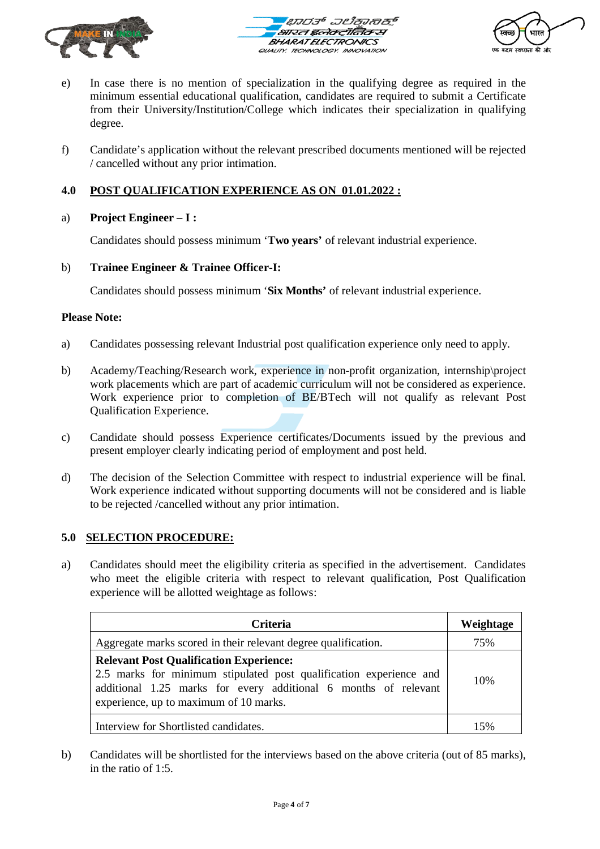





- e) In case there is no mention of specialization in the qualifying degree as required in the minimum essential educational qualification, candidates are required to submit a Certificate from their University/Institution/College which indicates their specialization in qualifying degree.
- f) Candidate's application without the relevant prescribed documents mentioned will be rejected / cancelled without any prior intimation.

# **4.0 POST QUALIFICATION EXPERIENCE AS ON 01.01.2022 :**

## a) **Project Engineer – I :**

Candidates should possess minimum '**Two years'** of relevant industrial experience.

## b) **Trainee Engineer & Trainee Officer-I:**

Candidates should possess minimum '**Six Months'** of relevant industrial experience.

#### **Please Note:**

- a) Candidates possessing relevant Industrial post qualification experience only need to apply.
- b) Academy/Teaching/Research work, experience in non-profit organization, internship\project work placements which are part of academic curriculum will not be considered as experience. Work experience prior to completion of BE/BTech will not qualify as relevant Post Qualification Experience.
- c) Candidate should possess Experience certificates/Documents issued by the previous and present employer clearly indicating period of employment and post held.
- d) The decision of the Selection Committee with respect to industrial experience will be final. Work experience indicated without supporting documents will not be considered and is liable to be rejected /cancelled without any prior intimation.

## **5.0 SELECTION PROCEDURE:**

a) Candidates should meet the eligibility criteria as specified in the advertisement. Candidates who meet the eligible criteria with respect to relevant qualification, Post Qualification experience will be allotted weightage as follows:

| <b>Criteria</b>                                                                                                                                                                                                                   | Weightage |
|-----------------------------------------------------------------------------------------------------------------------------------------------------------------------------------------------------------------------------------|-----------|
| Aggregate marks scored in their relevant degree qualification.                                                                                                                                                                    | 75%       |
| <b>Relevant Post Qualification Experience:</b><br>2.5 marks for minimum stipulated post qualification experience and<br>additional 1.25 marks for every additional 6 months of relevant<br>experience, up to maximum of 10 marks. | 10%       |
| Interview for Shortlisted candidates.                                                                                                                                                                                             |           |

b) Candidates will be shortlisted for the interviews based on the above criteria (out of 85 marks), in the ratio of 1:5.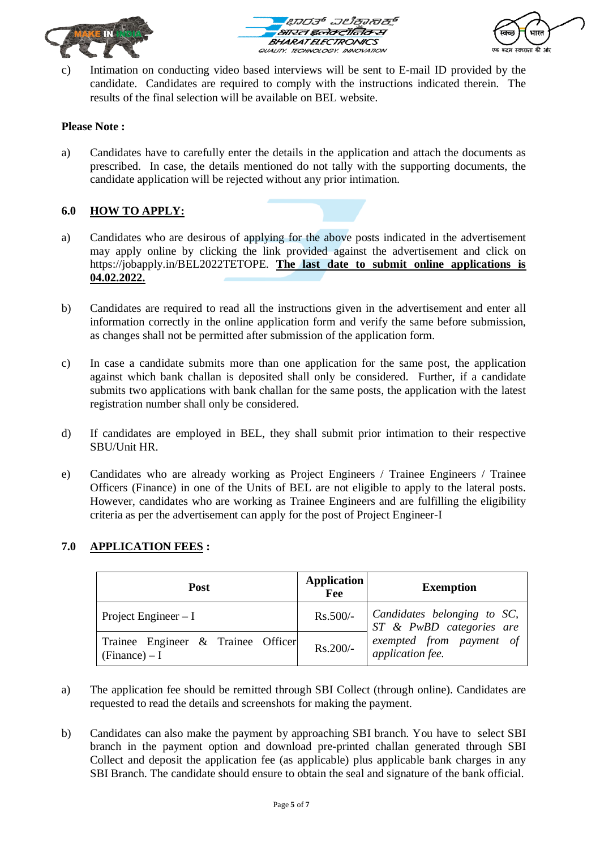





c) Intimation on conducting video based interviews will be sent to E-mail ID provided by the candidate. Candidates are required to comply with the instructions indicated therein. The results of the final selection will be available on BEL website.

## **Please Note :**

a) Candidates have to carefully enter the details in the application and attach the documents as prescribed. In case, the details mentioned do not tally with the supporting documents, the candidate application will be rejected without any prior intimation.

## **6.0 HOW TO APPLY:**

- a) Candidates who are desirous of applying for the above posts indicated in the advertisement may apply online by clicking the link provided against the advertisement and click on https://jobapply.in/BEL2022TETOPE. **The last date to submit online applications is 04.02.2022.**
- b) Candidates are required to read all the instructions given in the advertisement and enter all information correctly in the online application form and verify the same before submission, as changes shall not be permitted after submission of the application form.
- c) In case a candidate submits more than one application for the same post, the application against which bank challan is deposited shall only be considered. Further, if a candidate submits two applications with bank challan for the same posts, the application with the latest registration number shall only be considered.
- d) If candidates are employed in BEL, they shall submit prior intimation to their respective SBU/Unit HR.
- e) Candidates who are already working as Project Engineers / Trainee Engineers / Trainee Officers (Finance) in one of the Units of BEL are not eligible to apply to the lateral posts. However, candidates who are working as Trainee Engineers and are fulfilling the eligibility criteria as per the advertisement can apply for the post of Project Engineer-I

## **7.0 APPLICATION FEES :**

| Post                                                  | Application<br>Fee | <b>Exemption</b>                                                           |  |  |
|-------------------------------------------------------|--------------------|----------------------------------------------------------------------------|--|--|
| Project Engineer $-I$                                 |                    | $\text{Rs.}500$ /- Candidates belonging to SC,<br>ST & PwBD categories are |  |  |
| Trainee Engineer & Trainee Officer<br>$(Finance) - I$ | Rs.200/-           | exempted from payment of<br>application fee.                               |  |  |

- a) The application fee should be remitted through SBI Collect (through online). Candidates are requested to read the details and screenshots for making the payment.
- b) Candidates can also make the payment by approaching SBI branch. You have to select SBI branch in the payment option and download pre-printed challan generated through SBI Collect and deposit the application fee (as applicable) plus applicable bank charges in any SBI Branch. The candidate should ensure to obtain the seal and signature of the bank official.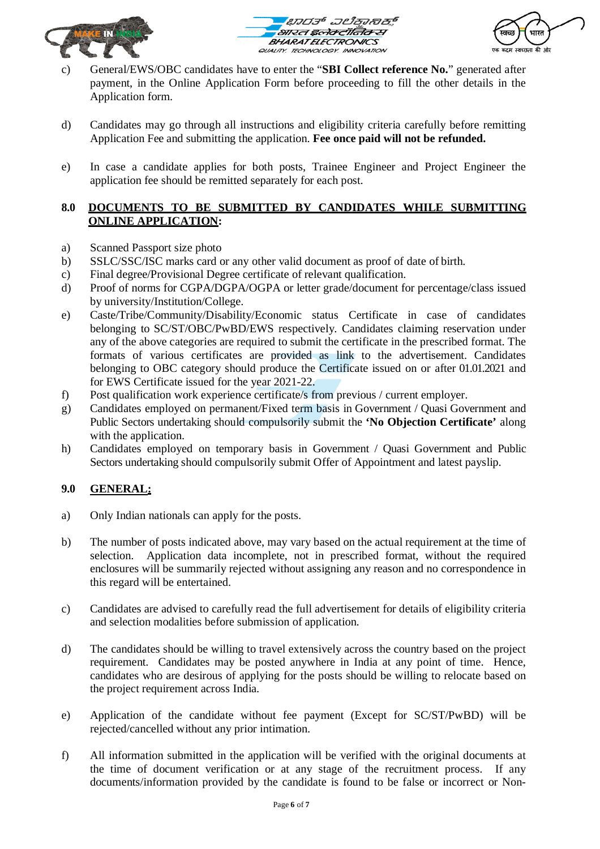





- c) General/EWS/OBC candidates have to enter the "**SBI Collect reference No.**" generated after payment, in the Online Application Form before proceeding to fill the other details in the Application form.
- d) Candidates may go through all instructions and eligibility criteria carefully before remitting Application Fee and submitting the application. **Fee once paid will not be refunded.**
- e) In case a candidate applies for both posts, Trainee Engineer and Project Engineer the application fee should be remitted separately for each post.

## **8.0 DOCUMENTS TO BE SUBMITTED BY CANDIDATES WHILE SUBMITTING ONLINE APPLICATION:**

- a) Scanned Passport size photo
- b) SSLC/SSC/ISC marks card or any other valid document as proof of date of birth.
- c) Final degree/Provisional Degree certificate of relevant qualification.
- d) Proof of norms for CGPA/DGPA/OGPA or letter grade/document for percentage/class issued by university/Institution/College.
- e) Caste/Tribe/Community/Disability/Economic status Certificate in case of candidates belonging to SC/ST/OBC/PwBD/EWS respectively. Candidates claiming reservation under any of the above categories are required to submit the certificate in the prescribed format. The formats of various certificates are provided as link to the advertisement. Candidates belonging to OBC category should produce the Certificate issued on or after 01.01.2021 and for EWS Certificate issued for the year 2021-22.
- f) Post qualification work experience certificate/s from previous / current employer.
- g) Candidates employed on permanent/Fixed term basis in Government / Quasi Government and Public Sectors undertaking should compulsorily submit the **'No Objection Certificate'** along with the application.
- h) Candidates employed on temporary basis in Government / Quasi Government and Public Sectors undertaking should compulsorily submit Offer of Appointment and latest payslip.

# **9.0 GENERAL:**

- a) Only Indian nationals can apply for the posts.
- b) The number of posts indicated above, may vary based on the actual requirement at the time of selection. Application data incomplete, not in prescribed format, without the required enclosures will be summarily rejected without assigning any reason and no correspondence in this regard will be entertained.
- c) Candidates are advised to carefully read the full advertisement for details of eligibility criteria and selection modalities before submission of application.
- d) The candidates should be willing to travel extensively across the country based on the project requirement. Candidates may be posted anywhere in India at any point of time. Hence, candidates who are desirous of applying for the posts should be willing to relocate based on the project requirement across India.
- e) Application of the candidate without fee payment (Except for SC/ST/PwBD) will be rejected/cancelled without any prior intimation.
- f) All information submitted in the application will be verified with the original documents at the time of document verification or at any stage of the recruitment process. If any documents/information provided by the candidate is found to be false or incorrect or Non-